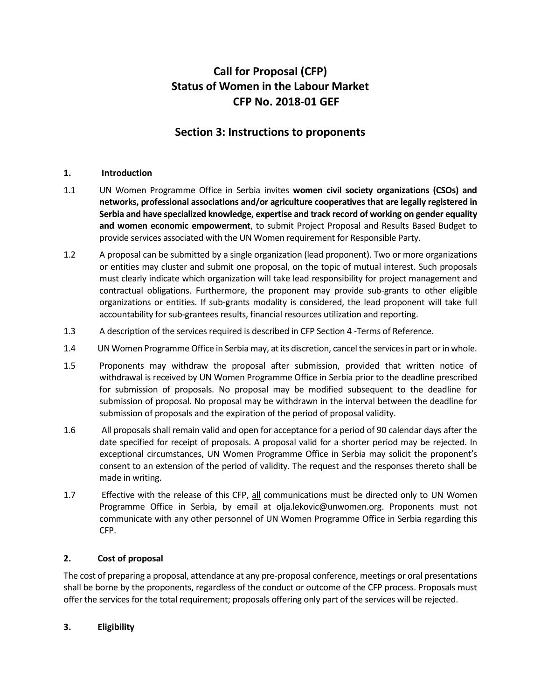# **Call for Proposal (CFP) Status of Women in the Labour Market CFP No. 2018-01 GEF**

# **Section 3: Instructions to proponents**

#### **1. Introduction**

- 1.1 UN Women Programme Office in Serbia invites **women civil society organizations (CSOs) and networks, professional associations and/or agriculture cooperatives that are legally registered in Serbia and have specialized knowledge, expertise and track record of working on gender equality and women economic empowerment**, to submit Project Proposal and Results Based Budget to provide services associated with the UN Women requirement for Responsible Party.
- 1.2 A proposal can be submitted by a single organization (lead proponent). Two or more organizations or entities may cluster and submit one proposal, on the topic of mutual interest. Such proposals must clearly indicate which organization will take lead responsibility for project management and contractual obligations. Furthermore, the proponent may provide sub-grants to other eligible organizations or entities. If sub-grants modality is considered, the lead proponent will take full accountability for sub-grantees results, financial resources utilization and reporting.
- 1.3 A description of the services required is described in CFP Section 4 -Terms of Reference.
- 1.4 UN Women Programme Office in Serbia may, at its discretion, cancel the services in part or in whole.
- 1.5 Proponents may withdraw the proposal after submission, provided that written notice of withdrawal is received by UN Women Programme Office in Serbia prior to the deadline prescribed for submission of proposals. No proposal may be modified subsequent to the deadline for submission of proposal. No proposal may be withdrawn in the interval between the deadline for submission of proposals and the expiration of the period of proposal validity.
- 1.6 All proposals shall remain valid and open for acceptance for a period of 90 calendar days after the date specified for receipt of proposals. A proposal valid for a shorter period may be rejected. In exceptional circumstances, UN Women Programme Office in Serbia may solicit the proponent's consent to an extension of the period of validity. The request and the responses thereto shall be made in writing.
- 1.7 Effective with the release of this CFP, all communications must be directed only to UN Women Programme Office in Serbia, by email at olja.lekovic@unwomen.org. Proponents must not communicate with any other personnel of UN Women Programme Office in Serbia regarding this CFP.

#### **2. Cost of proposal**

The cost of preparing a proposal, attendance at any pre-proposal conference, meetings or oral presentations shall be borne by the proponents, regardless of the conduct or outcome of the CFP process. Proposals must offer the services for the total requirement; proposals offering only part of the services will be rejected.

#### **3. Eligibility**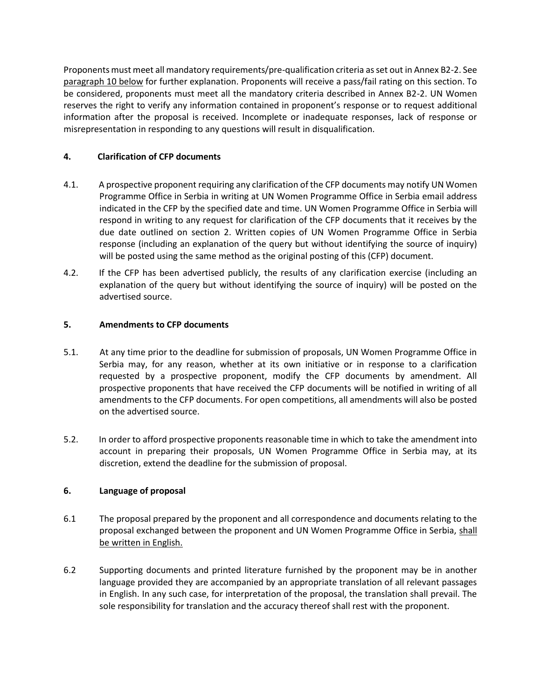Proponents must meet all mandatory requirements/pre-qualification criteria as set out in Annex B2-2. See paragraph 10 below for further explanation. Proponents will receive a pass/fail rating on this section. To be considered, proponents must meet all the mandatory criteria described in Annex B2-2. UN Women reserves the right to verify any information contained in proponent's response or to request additional information after the proposal is received. Incomplete or inadequate responses, lack of response or misrepresentation in responding to any questions will result in disqualification.

#### **4. Clarification of CFP documents**

- 4.1. A prospective proponent requiring any clarification of the CFP documents may notify UN Women Programme Office in Serbia in writing at UN Women Programme Office in Serbia email address indicated in the CFP by the specified date and time. UN Women Programme Office in Serbia will respond in writing to any request for clarification of the CFP documents that it receives by the due date outlined on section 2. Written copies of UN Women Programme Office in Serbia response (including an explanation of the query but without identifying the source of inquiry) will be posted using the same method as the original posting of this (CFP) document.
- 4.2. If the CFP has been advertised publicly, the results of any clarification exercise (including an explanation of the query but without identifying the source of inquiry) will be posted on the advertised source.

#### **5. Amendments to CFP documents**

- 5.1. At any time prior to the deadline for submission of proposals, UN Women Programme Office in Serbia may, for any reason, whether at its own initiative or in response to a clarification requested by a prospective proponent, modify the CFP documents by amendment. All prospective proponents that have received the CFP documents will be notified in writing of all amendments to the CFP documents. For open competitions, all amendments will also be posted on the advertised source.
- 5.2. In order to afford prospective proponents reasonable time in which to take the amendment into account in preparing their proposals, UN Women Programme Office in Serbia may, at its discretion, extend the deadline for the submission of proposal.

## **6. Language of proposal**

- 6.1 The proposal prepared by the proponent and all correspondence and documents relating to the proposal exchanged between the proponent and UN Women Programme Office in Serbia, shall be written in English.
- 6.2 Supporting documents and printed literature furnished by the proponent may be in another language provided they are accompanied by an appropriate translation of all relevant passages in English. In any such case, for interpretation of the proposal, the translation shall prevail. The sole responsibility for translation and the accuracy thereof shall rest with the proponent.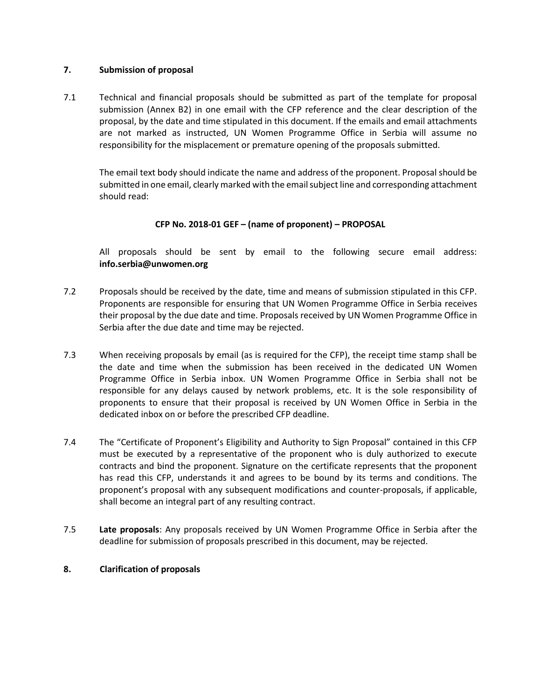#### **7. Submission of proposal**

7.1 Technical and financial proposals should be submitted as part of the template for proposal submission (Annex B2) in one email with the CFP reference and the clear description of the proposal, by the date and time stipulated in this document. If the emails and email attachments are not marked as instructed, UN Women Programme Office in Serbia will assume no responsibility for the misplacement or premature opening of the proposals submitted.

The email text body should indicate the name and address of the proponent. Proposal should be submitted in one email, clearly marked with the email subject line and corresponding attachment should read:

#### **CFP No. 2018-01 GEF – (name of proponent) – PROPOSAL**

All proposals should be sent by email to the following secure email address: **info.serbia@unwomen.org**

- 7.2 Proposals should be received by the date, time and means of submission stipulated in this CFP. Proponents are responsible for ensuring that UN Women Programme Office in Serbia receives their proposal by the due date and time. Proposals received by UN Women Programme Office in Serbia after the due date and time may be rejected.
- 7.3 When receiving proposals by email (as is required for the CFP), the receipt time stamp shall be the date and time when the submission has been received in the dedicated UN Women Programme Office in Serbia inbox. UN Women Programme Office in Serbia shall not be responsible for any delays caused by network problems, etc. It is the sole responsibility of proponents to ensure that their proposal is received by UN Women Office in Serbia in the dedicated inbox on or before the prescribed CFP deadline.
- 7.4 The "Certificate of Proponent's Eligibility and Authority to Sign Proposal" contained in this CFP must be executed by a representative of the proponent who is duly authorized to execute contracts and bind the proponent. Signature on the certificate represents that the proponent has read this CFP, understands it and agrees to be bound by its terms and conditions. The proponent's proposal with any subsequent modifications and counter-proposals, if applicable, shall become an integral part of any resulting contract.
- 7.5 **Late proposals**: Any proposals received by UN Women Programme Office in Serbia after the deadline for submission of proposals prescribed in this document, may be rejected.

#### **8. Clarification of proposals**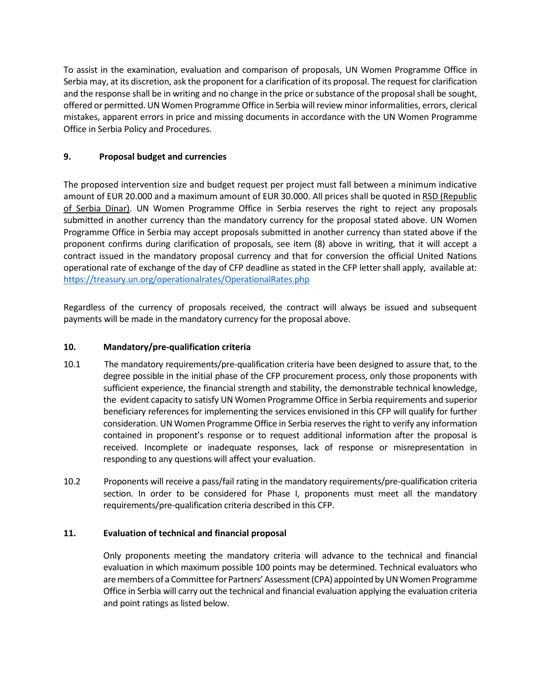To assist in the examination, evaluation and comparison of proposals, UN Women Programme Office in Serbia may, at its discretion, ask the proponent for a clarification of its proposal. The request for clarification and the response shall be in writing and no change in the price or substance of the proposal shall be sought, offered or permitted. UN Women Programme Office in Serbia will review minor informalities, errors, clerical mistakes, apparent errors in price and missing documents in accordance with the UN Women Programme Office in Serbia Policy and Procedures.

## **9. Proposal budget and currencies**

The proposed intervention size and budget request per project must fall between a minimum indicative amount of EUR 20.000 and a maximum amount of EUR 30.000. All prices shall be quoted in RSD (Republic of Serbia Dinar). UN Women Programme Office in Serbia reserves the right to reject any proposals submitted in another currency than the mandatory currency for the proposal stated above. UN Women Programme Office in Serbia may accept proposals submitted in another currency than stated above if the proponent confirms during clarification of proposals, see item (8) above in writing, that it will accept a contract issued in the mandatory proposal currency and that for conversion the official United Nations operational rate of exchange of the day of CFP deadline as stated in the CFP letter shall apply, available at: <https://treasury.un.org/operationalrates/OperationalRates.php>

Regardless of the currency of proposals received, the contract will always be issued and subsequent payments will be made in the mandatory currency for the proposal above.

#### **10. Mandatory/pre-qualification criteria**

- 10.1 The mandatory requirements/pre-qualification criteria have been designed to assure that, to the degree possible in the initial phase of the CFP procurement process, only those proponents with sufficient experience, the financial strength and stability, the demonstrable technical knowledge, the evident capacity to satisfy UN Women Programme Office in Serbia requirements and superior beneficiary references for implementing the services envisioned in this CFP will qualify for further consideration. UN Women Programme Office in Serbia reserves the right to verify any information contained in proponent's response or to request additional information after the proposal is received. Incomplete or inadequate responses, lack of response or misrepresentation in responding to any questions will affect your evaluation.
- 10.2 Proponents will receive a pass/fail rating in the mandatory requirements/pre-qualification criteria section. In order to be considered for Phase I, proponents must meet all the mandatory requirements/pre-qualification criteria described in this CFP.

#### **11. Evaluation of technical and financial proposal**

Only proponents meeting the mandatory criteria will advance to the technical and financial evaluation in which maximum possible 100 points may be determined. Technical evaluators who are members of a Committee for Partners' Assessment (CPA) appointed by UN Women Programme Office in Serbia will carry out the technical and financial evaluation applying the evaluation criteria and point ratings as listed below.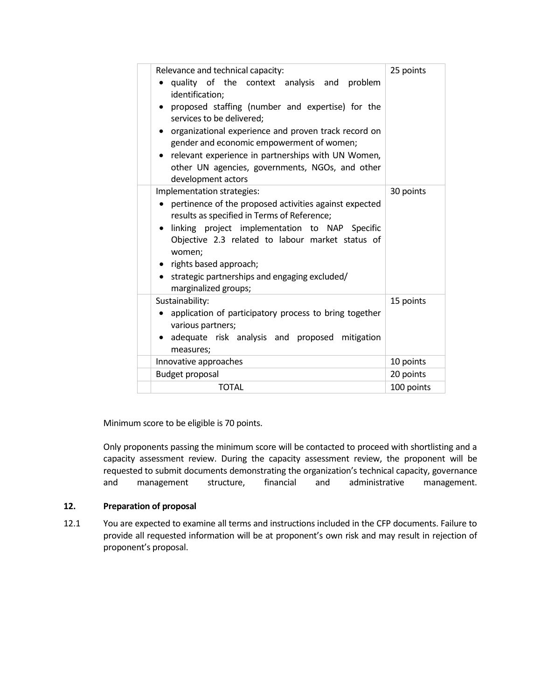| Relevance and technical capacity:<br>quality of the context analysis and problem<br>identification;<br>proposed staffing (number and expertise) for the<br>services to be delivered;<br>organizational experience and proven track record on<br>gender and economic empowerment of women;<br>relevant experience in partnerships with UN Women,<br>other UN agencies, governments, NGOs, and other<br>development actors | 25 points  |
|--------------------------------------------------------------------------------------------------------------------------------------------------------------------------------------------------------------------------------------------------------------------------------------------------------------------------------------------------------------------------------------------------------------------------|------------|
| Implementation strategies:<br>pertinence of the proposed activities against expected<br>results as specified in Terms of Reference;<br>linking project implementation to NAP Specific<br>Objective 2.3 related to labour market status of<br>women;<br>• rights based approach;<br>strategic partnerships and engaging excluded/<br>marginalized groups;                                                                 | 30 points  |
| Sustainability:<br>application of participatory process to bring together<br>various partners;<br>adequate risk analysis and proposed mitigation<br>measures;                                                                                                                                                                                                                                                            | 15 points  |
| Innovative approaches                                                                                                                                                                                                                                                                                                                                                                                                    | 10 points  |
| <b>Budget proposal</b>                                                                                                                                                                                                                                                                                                                                                                                                   | 20 points  |
| <b>TOTAL</b>                                                                                                                                                                                                                                                                                                                                                                                                             | 100 points |

Minimum score to be eligible is 70 points.

Only proponents passing the minimum score will be contacted to proceed with shortlisting and a capacity assessment review. During the capacity assessment review, the proponent will be requested to submit documents demonstrating the organization's technical capacity, governance and management structure, financial and administrative management.

#### **12. Preparation of proposal**

12.1 You are expected to examine all terms and instructions included in the CFP documents. Failure to provide all requested information will be at proponent's own risk and may result in rejection of proponent's proposal.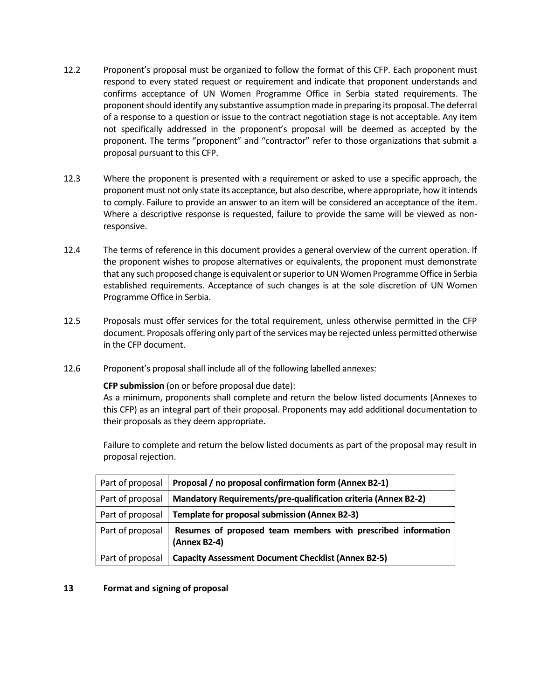- 12.2 Proponent's proposal must be organized to follow the format of this CFP. Each proponent must respond to every stated request or requirement and indicate that proponent understands and confirms acceptance of UN Women Programme Office in Serbia stated requirements. The proponent should identify any substantive assumption made in preparing its proposal. The deferral of a response to a question or issue to the contract negotiation stage is not acceptable. Any item not specifically addressed in the proponent's proposal will be deemed as accepted by the proponent. The terms "proponent" and "contractor" refer to those organizations that submit a proposal pursuant to this CFP.
- 12.3 Where the proponent is presented with a requirement or asked to use a specific approach, the proponent must not only state its acceptance, but also describe, where appropriate, how it intends to comply. Failure to provide an answer to an item will be considered an acceptance of the item. Where a descriptive response is requested, failure to provide the same will be viewed as nonresponsive.
- 12.4 The terms of reference in this document provides a general overview of the current operation. If the proponent wishes to propose alternatives or equivalents, the proponent must demonstrate that any such proposed change is equivalent or superior to UN Women Programme Office in Serbia established requirements. Acceptance of such changes is at the sole discretion of UN Women Programme Office in Serbia.
- 12.5 Proposals must offer services for the total requirement, unless otherwise permitted in the CFP document. Proposals offering only part of the services may be rejected unless permitted otherwise in the CFP document.
- 12.6 Proponent's proposal shall include all of the following labelled annexes:

#### **CFP submission** (on or before proposal due date):

As a minimum, proponents shall complete and return the below listed documents (Annexes to this CFP) as an integral part of their proposal. Proponents may add additional documentation to their proposals as they deem appropriate.

Failure to complete and return the below listed documents as part of the proposal may result in proposal rejection.

| Part of proposal | Proposal / no proposal confirmation form (Annex B2-1)                        |
|------------------|------------------------------------------------------------------------------|
| Part of proposal | <b>Mandatory Requirements/pre-qualification criteria (Annex B2-2)</b>        |
| Part of proposal | Template for proposal submission (Annex B2-3)                                |
| Part of proposal | Resumes of proposed team members with prescribed information<br>(Annex B2-4) |
| Part of proposal | <b>Capacity Assessment Document Checklist (Annex B2-5)</b>                   |

#### **13 Format and signing of proposal**